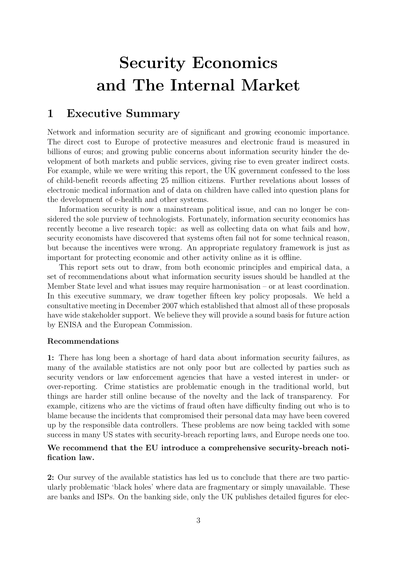# Security Economics and The Internal Market

# 1 Executive Summary

Network and information security are of significant and growing economic importance. The direct cost to Europe of protective measures and electronic fraud is measured in billions of euros; and growing public concerns about information security hinder the development of both markets and public services, giving rise to even greater indirect costs. For example, while we were writing this report, the UK government confessed to the loss of child-benefit records affecting 25 million citizens. Further revelations about losses of electronic medical information and of data on children have called into question plans for the development of e-health and other systems.

Information security is now a mainstream political issue, and can no longer be considered the sole purview of technologists. Fortunately, information security economics has recently become a live research topic: as well as collecting data on what fails and how, security economists have discovered that systems often fail not for some technical reason, but because the incentives were wrong. An appropriate regulatory framework is just as important for protecting economic and other activity online as it is offline.

This report sets out to draw, from both economic principles and empirical data, a set of recommendations about what information security issues should be handled at the Member State level and what issues may require harmonisation – or at least coordination. In this executive summary, we draw together fifteen key policy proposals. We held a consultative meeting in December 2007 which established that almost all of these proposals have wide stakeholder support. We believe they will provide a sound basis for future action by ENISA and the European Commission.

#### Recommendations

1: There has long been a shortage of hard data about information security failures, as many of the available statistics are not only poor but are collected by parties such as security vendors or law enforcement agencies that have a vested interest in under- or over-reporting. Crime statistics are problematic enough in the traditional world, but things are harder still online because of the novelty and the lack of transparency. For example, citizens who are the victims of fraud often have difficulty finding out who is to blame because the incidents that compromised their personal data may have been covered up by the responsible data controllers. These problems are now being tackled with some success in many US states with security-breach reporting laws, and Europe needs one too.

#### We recommend that the EU introduce a comprehensive security-breach notification law.

2: Our survey of the available statistics has led us to conclude that there are two particularly problematic 'black holes' where data are fragmentary or simply unavailable. These are banks and ISPs. On the banking side, only the UK publishes detailed figures for elec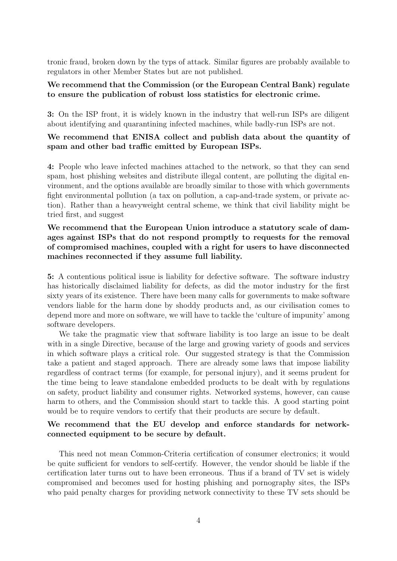tronic fraud, broken down by the typs of attack. Similar figures are probably available to regulators in other Member States but are not published.

#### We recommend that the Commission (or the European Central Bank) regulate to ensure the publication of robust loss statistics for electronic crime.

3: On the ISP front, it is widely known in the industry that well-run ISPs are diligent about identifying and quarantining infected machines, while badly-run ISPs are not.

#### We recommend that ENISA collect and publish data about the quantity of spam and other bad traffic emitted by European ISPs.

4: People who leave infected machines attached to the network, so that they can send spam, host phishing websites and distribute illegal content, are polluting the digital environment, and the options available are broadly similar to those with which governments fight environmental pollution (a tax on pollution, a cap-and-trade system, or private action). Rather than a heavyweight central scheme, we think that civil liability might be tried first, and suggest

#### We recommend that the European Union introduce a statutory scale of damages against ISPs that do not respond promptly to requests for the removal of compromised machines, coupled with a right for users to have disconnected machines reconnected if they assume full liability.

5: A contentious political issue is liability for defective software. The software industry has historically disclaimed liability for defects, as did the motor industry for the first sixty years of its existence. There have been many calls for governments to make software vendors liable for the harm done by shoddy products and, as our civilisation comes to depend more and more on software, we will have to tackle the 'culture of impunity' among software developers.

We take the pragmatic view that software liability is too large an issue to be dealt with in a single Directive, because of the large and growing variety of goods and services in which software plays a critical role. Our suggested strategy is that the Commission take a patient and staged approach. There are already some laws that impose liability regardless of contract terms (for example, for personal injury), and it seems prudent for the time being to leave standalone embedded products to be dealt with by regulations on safety, product liability and consumer rights. Networked systems, however, can cause harm to others, and the Commission should start to tackle this. A good starting point would be to require vendors to certify that their products are secure by default.

#### We recommend that the EU develop and enforce standards for networkconnected equipment to be secure by default.

This need not mean Common-Criteria certification of consumer electronics; it would be quite sufficient for vendors to self-certify. However, the vendor should be liable if the certification later turns out to have been erroneous. Thus if a brand of TV set is widely compromised and becomes used for hosting phishing and pornography sites, the ISPs who paid penalty charges for providing network connectivity to these TV sets should be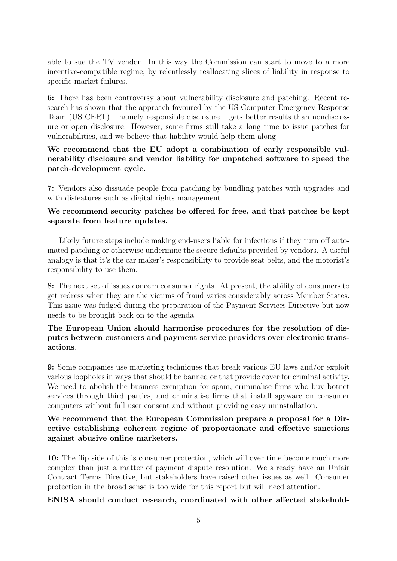able to sue the TV vendor. In this way the Commission can start to move to a more incentive-compatible regime, by relentlessly reallocating slices of liability in response to specific market failures.

6: There has been controversy about vulnerability disclosure and patching. Recent research has shown that the approach favoured by the US Computer Emergency Response Team (US CERT) – namely responsible disclosure – gets better results than nondisclosure or open disclosure. However, some firms still take a long time to issue patches for vulnerabilities, and we believe that liability would help them along.

# We recommend that the EU adopt a combination of early responsible vulnerability disclosure and vendor liability for unpatched software to speed the patch-development cycle.

7: Vendors also dissuade people from patching by bundling patches with upgrades and with disfeatures such as digital rights management.

# We recommend security patches be offered for free, and that patches be kept separate from feature updates.

Likely future steps include making end-users liable for infections if they turn off automated patching or otherwise undermine the secure defaults provided by vendors. A useful analogy is that it's the car maker's responsibility to provide seat belts, and the motorist's responsibility to use them.

8: The next set of issues concern consumer rights. At present, the ability of consumers to get redress when they are the victims of fraud varies considerably across Member States. This issue was fudged during the preparation of the Payment Services Directive but now needs to be brought back on to the agenda.

# The European Union should harmonise procedures for the resolution of disputes between customers and payment service providers over electronic transactions.

9: Some companies use marketing techniques that break various EU laws and/or exploit various loopholes in ways that should be banned or that provide cover for criminal activity. We need to abolish the business exemption for spam, criminalise firms who buy botnet services through third parties, and criminalise firms that install spyware on consumer computers without full user consent and without providing easy uninstallation.

#### We recommend that the European Commission prepare a proposal for a Directive establishing coherent regime of proportionate and effective sanctions against abusive online marketers.

10: The flip side of this is consumer protection, which will over time become much more complex than just a matter of payment dispute resolution. We already have an Unfair Contract Terms Directive, but stakeholders have raised other issues as well. Consumer protection in the broad sense is too wide for this report but will need attention.

ENISA should conduct research, coordinated with other affected stakehold-